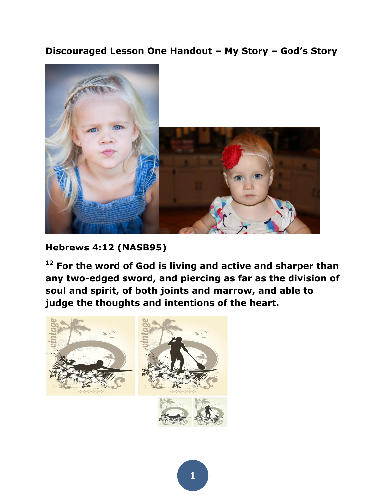#### **Discouraged Lesson One Handout – My Story – God's Story**



**Hebrews 4:12 (NASB95)** 

**<sup>12</sup> For the word of God is living and active and sharper than any two-edged sword, and piercing as far as the division of soul and spirit, of both joints and marrow, and able to judge the thoughts and intentions of the heart.** 



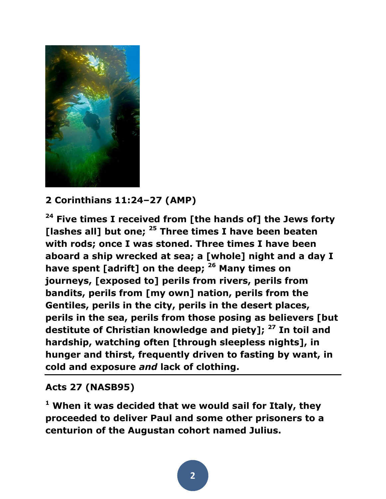

## **2 Corinthians 11:24–27 (AMP)**

**<sup>24</sup> Five times I received from [the hands of] the Jews forty [lashes all] but one; <sup>25</sup> Three times I have been beaten with rods; once I was stoned. Three times I have been aboard a ship wrecked at sea; a [whole] night and a day I have spent [adrift] on the deep; <sup>26</sup> Many times on journeys, [exposed to] perils from rivers, perils from bandits, perils from [my own] nation, perils from the Gentiles, perils in the city, perils in the desert places, perils in the sea, perils from those posing as believers [but destitute of Christian knowledge and piety]; <sup>27</sup> In toil and hardship, watching often [through sleepless nights], in hunger and thirst, frequently driven to fasting by want, in cold and exposure** *and* **lack of clothing.** 

### **Acts 27 (NASB95)**

**<sup>1</sup> When it was decided that we would sail for Italy, they proceeded to deliver Paul and some other prisoners to a centurion of the Augustan cohort named Julius.**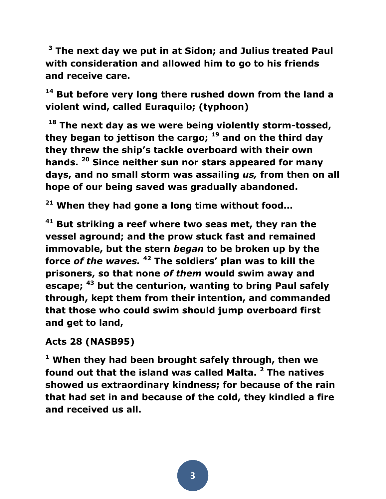**<sup>3</sup> The next day we put in at Sidon; and Julius treated Paul with consideration and allowed him to go to his friends and receive care.**

**<sup>14</sup> But before very long there rushed down from the land a violent wind, called Euraquilo; (typhoon)**

**<sup>18</sup> The next day as we were being violently storm-tossed, they began to jettison the cargo; <sup>19</sup> and on the third day they threw the ship's tackle overboard with their own hands. <sup>20</sup> Since neither sun nor stars appeared for many days, and no small storm was assailing** *us,* **from then on all hope of our being saved was gradually abandoned.**

**<sup>21</sup> When they had gone a long time without food…**

**<sup>41</sup> But striking a reef where two seas met, they ran the vessel aground; and the prow stuck fast and remained immovable, but the stern** *began* **to be broken up by the force** *of the waves.* **<sup>42</sup> The soldiers' plan was to kill the prisoners, so that none** *of them* **would swim away and escape; <sup>43</sup> but the centurion, wanting to bring Paul safely through, kept them from their intention, and commanded that those who could swim should jump overboard first and get to land,** 

#### **Acts 28 (NASB95)**

**<sup>1</sup> When they had been brought safely through, then we found out that the island was called Malta. <sup>2</sup> The natives showed us extraordinary kindness; for because of the rain that had set in and because of the cold, they kindled a fire and received us all.**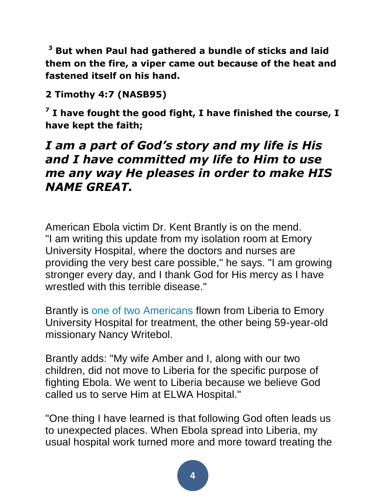**<sup>3</sup> But when Paul had gathered a bundle of sticks and laid them on the fire, a viper came out because of the heat and fastened itself on his hand.** 

# **2 Timothy 4:7 (NASB95)**

**7 I have fought the good fight, I have finished the course, I have kept the faith;** 

# *I am a part of God's story and my life is His and I have committed my life to Him to use me any way He pleases in order to make HIS NAME GREAT.*

American Ebola victim Dr. Kent Brantly is on the mend. "I am writing this update from my isolation room at Emory University Hospital, where the doctors and nurses are providing the very best care possible," he says. "I am growing stronger every day, and I thank God for His mercy as I have wrestled with this terrible disease."

Brantly is [one of two Americans](http://www.people.com/article/two-ebola-patients-will-be-transported-to-atlanta) flown from Liberia to Emory University Hospital for treatment, the other being 59-year-old missionary Nancy Writebol.

Brantly adds: "My wife Amber and I, along with our two children, did not move to Liberia for the specific purpose of fighting Ebola. We went to Liberia because we believe God called us to serve Him at ELWA Hospital."

"One thing I have learned is that following God often leads us to unexpected places. When Ebola spread into Liberia, my usual hospital work turned more and more toward treating the